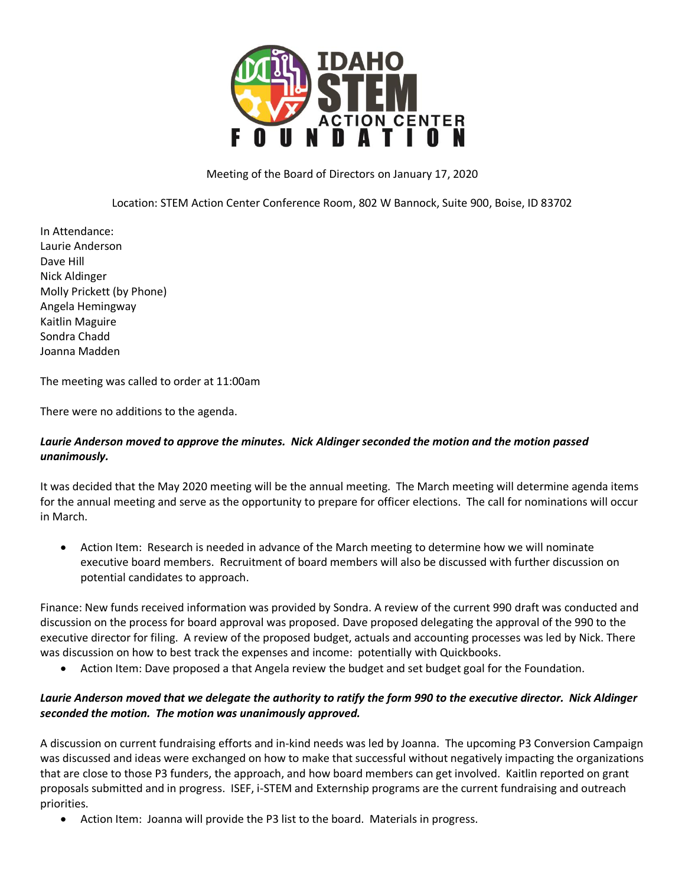

## Meeting of the Board of Directors on January 17, 2020

Location: STEM Action Center Conference Room, 802 W Bannock, Suite 900, Boise, ID 83702

In Attendance: Laurie Anderson Dave Hill Nick Aldinger Molly Prickett (by Phone) Angela Hemingway Kaitlin Maguire Sondra Chadd Joanna Madden

The meeting was called to order at 11:00am

There were no additions to the agenda.

## *Laurie Anderson moved to approve the minutes. Nick Aldinger seconded the motion and the motion passed unanimously.*

It was decided that the May 2020 meeting will be the annual meeting. The March meeting will determine agenda items for the annual meeting and serve as the opportunity to prepare for officer elections. The call for nominations will occur in March.

 Action Item: Research is needed in advance of the March meeting to determine how we will nominate executive board members. Recruitment of board members will also be discussed with further discussion on potential candidates to approach.

Finance: New funds received information was provided by Sondra. A review of the current 990 draft was conducted and discussion on the process for board approval was proposed. Dave proposed delegating the approval of the 990 to the executive director for filing. A review of the proposed budget, actuals and accounting processes was led by Nick. There was discussion on how to best track the expenses and income: potentially with Quickbooks.

Action Item: Dave proposed a that Angela review the budget and set budget goal for the Foundation.

## *Laurie Anderson moved that we delegate the authority to ratify the form 990 to the executive director. Nick Aldinger seconded the motion. The motion was unanimously approved.*

A discussion on current fundraising efforts and in-kind needs was led by Joanna. The upcoming P3 Conversion Campaign was discussed and ideas were exchanged on how to make that successful without negatively impacting the organizations that are close to those P3 funders, the approach, and how board members can get involved. Kaitlin reported on grant proposals submitted and in progress. ISEF, i-STEM and Externship programs are the current fundraising and outreach priorities.

Action Item: Joanna will provide the P3 list to the board. Materials in progress.